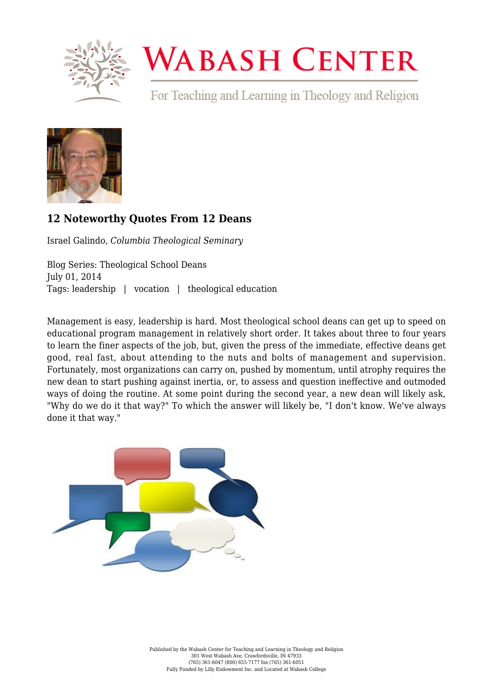

## **WABASH CENTER**

For Teaching and Learning in Theology and Religion



## **[12 Noteworthy Quotes From 12 Deans](https://www.wabashcenter.wabash.edu/2014/07/12-noteworthy-quotes-from-12-deans/)**

Israel Galindo, *Columbia Theological Seminary*

Blog Series: Theological School Deans July 01, 2014 Tags: leadership | vocation | theological education

Management is easy, leadership is hard. Most theological school deans can get up to speed on educational program management in relatively short order. It takes about three to four years to learn the finer aspects of the job, but, given the press of the immediate, effective deans get good, real fast, about attending to the nuts and bolts of management and supervision. Fortunately, most organizations can carry on, pushed by momentum, until atrophy requires the new dean to start pushing against inertia, or, to assess and question ineffective and outmoded ways of doing the routine. At some point during the second year, a new dean will likely ask, "Why do we do it that way?" To which the answer will likely be, "I don't know. We've always done it that way."

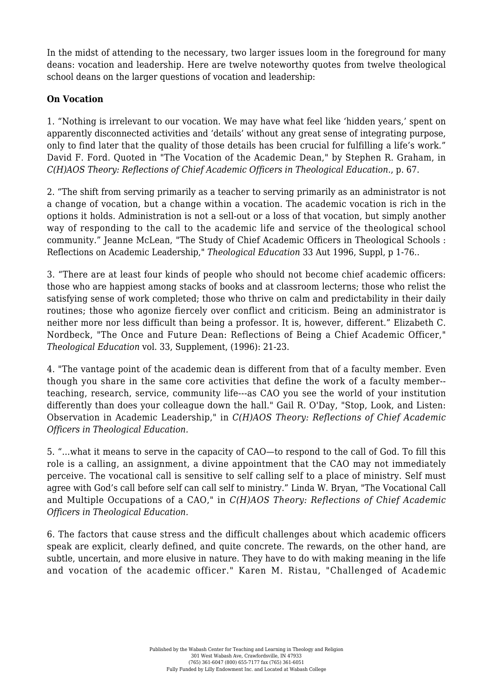In the midst of attending to the necessary, two larger issues loom in the foreground for many deans: vocation and leadership. Here are twelve noteworthy quotes from twelve theological school deans on the larger questions of vocation and leadership:

## **On Vocation**

1. "Nothing is irrelevant to our vocation. We may have what feel like 'hidden years,' spent on apparently disconnected activities and 'details' without any great sense of integrating purpose, only to find later that the quality of those details has been crucial for fulfilling a life's work." David F. Ford. Quoted in "The Vocation of the Academic Dean," by Stephen R. Graham, in *C(H)AOS Theory: Reflections of Chief Academic Officers in Theological Education.*, p. 67.

2. "The shift from serving primarily as a teacher to serving primarily as an administrator is not a change of vocation, but a change within a vocation. The academic vocation is rich in the options it holds. Administration is not a sell-out or a loss of that vocation, but simply another way of responding to the call to the academic life and service of the theological school community." Jeanne McLean, "The Study of Chief Academic Officers in Theological Schools : Reflections on Academic Leadership," *Theological Education* 33 Aut 1996, Suppl, p 1-76..

3. "There are at least four kinds of people who should not become chief academic officers: those who are happiest among stacks of books and at classroom lecterns; those who relist the satisfying sense of work completed; those who thrive on calm and predictability in their daily routines; those who agonize fiercely over conflict and criticism. Being an administrator is neither more nor less difficult than being a professor. It is, however, different." Elizabeth C. Nordbeck, "The Once and Future Dean: Reflections of Being a Chief Academic Officer," *Theological Education* vol. 33, Supplement, (1996): 21-23.

4. "The vantage point of the academic dean is different from that of a faculty member. Even though you share in the same core activities that define the work of a faculty member- teaching, research, service, community life---as CAO you see the world of your institution differently than does your colleague down the hall." Gail R. O'Day, "Stop, Look, and Listen: Observation in Academic Leadership," in *C(H)AOS Theory: Reflections of Chief Academic Officers in Theological Education.*

5. "...what it means to serve in the capacity of CAO—to respond to the call of God. To fill this role is a calling, an assignment, a divine appointment that the CAO may not immediately perceive. The vocational call is sensitive to self calling self to a place of ministry. Self must agree with God's call before self can call self to ministry." Linda W. Bryan, "The Vocational Call and Multiple Occupations of a CAO," in *C(H)AOS Theory: Reflections of Chief Academic Officers in Theological Education.*

6. The factors that cause stress and the difficult challenges about which academic officers speak are explicit, clearly defined, and quite concrete. The rewards, on the other hand, are subtle, uncertain, and more elusive in nature. They have to do with making meaning in the life and vocation of the academic officer." Karen M. Ristau, "Challenged of Academic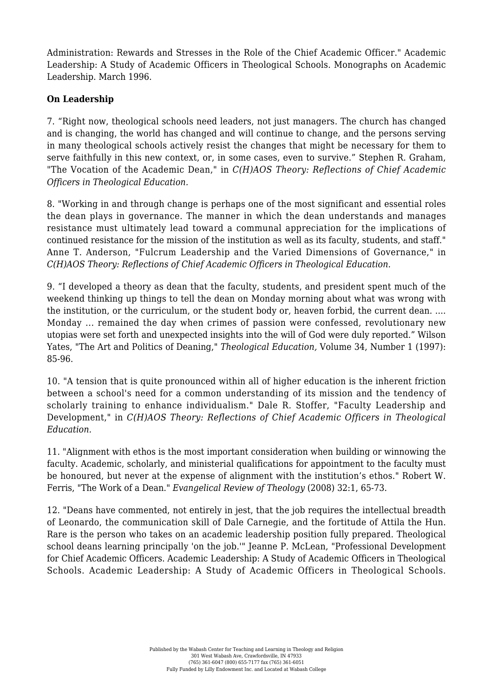Administration: Rewards and Stresses in the Role of the Chief Academic Officer." Academic Leadership: A Study of Academic Officers in Theological Schools. Monographs on Academic Leadership. March 1996.

## **On Leadership**

7. "Right now, theological schools need leaders, not just managers. The church has changed and is changing, the world has changed and will continue to change, and the persons serving in many theological schools actively resist the changes that might be necessary for them to serve faithfully in this new context, or, in some cases, even to survive." Stephen R. Graham, "The Vocation of the Academic Dean," in *C(H)AOS Theory: Reflections of Chief Academic Officers in Theological Education.*

8. "Working in and through change is perhaps one of the most significant and essential roles the dean plays in governance. The manner in which the dean understands and manages resistance must ultimately lead toward a communal appreciation for the implications of continued resistance for the mission of the institution as well as its faculty, students, and staff." Anne T. Anderson, "Fulcrum Leadership and the Varied Dimensions of Governance," in *C(H)AOS Theory: Reflections of Chief Academic Officers in Theological Education.*

9. "I developed a theory as dean that the faculty, students, and president spent much of the weekend thinking up things to tell the dean on Monday morning about what was wrong with the institution, or the curriculum, or the student body or, heaven forbid, the current dean. .... Monday ... remained the day when crimes of passion were confessed, revolutionary new utopias were set forth and unexpected insights into the will of God were duly reported." Wilson Yates, "The Art and Politics of Deaning," *Theological Education,* Volume 34, Number 1 (1997): 85-96.

10. "A tension that is quite pronounced within all of higher education is the inherent friction between a school's need for a common understanding of its mission and the tendency of scholarly training to enhance individualism." Dale R. Stoffer, "Faculty Leadership and Development," in *C(H)AOS Theory: Reflections of Chief Academic Officers in Theological Education.*

11. "Alignment with ethos is the most important consideration when building or winnowing the faculty. Academic, scholarly, and ministerial qualifications for appointment to the faculty must be honoured, but never at the expense of alignment with the institution's ethos." Robert W. Ferris, "The Work of a Dean." *Evangelical Review of Theology* (2008) 32:1, 65-73.

12. "Deans have commented, not entirely in jest, that the job requires the intellectual breadth of Leonardo, the communication skill of Dale Carnegie, and the fortitude of Attila the Hun. Rare is the person who takes on an academic leadership position fully prepared. Theological school deans learning principally 'on the job.'" Jeanne P. McLean, "Professional Development for Chief Academic Officers. Academic Leadership: A Study of Academic Officers in Theological Schools. Academic Leadership: A Study of Academic Officers in Theological Schools.